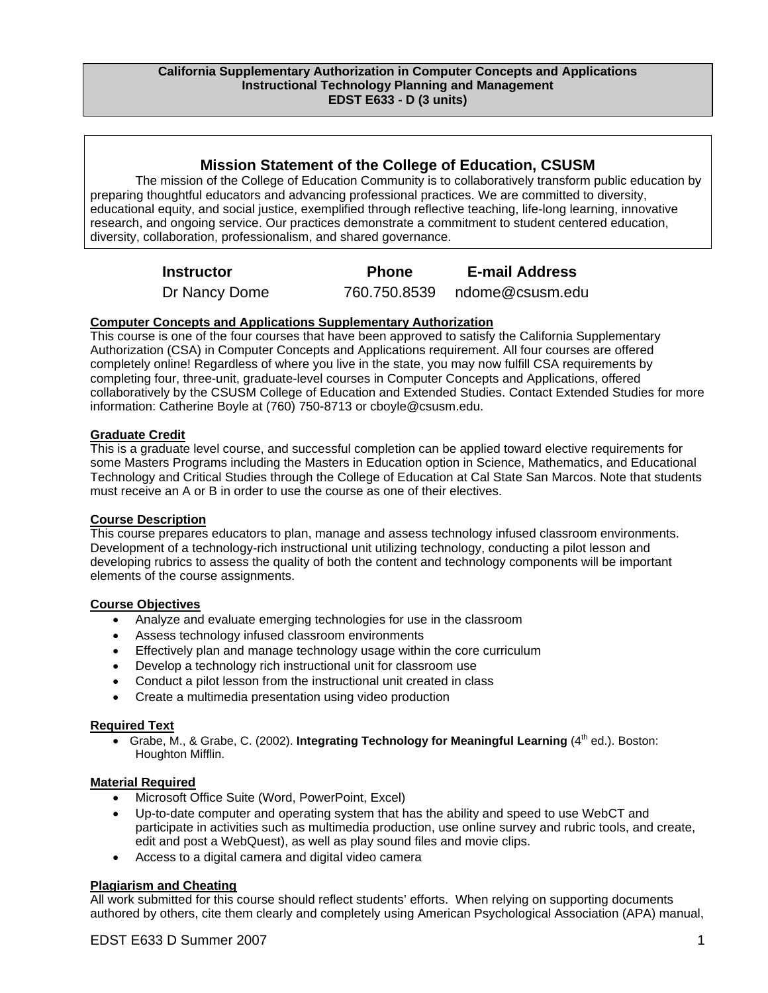### **Mission Statement of the College of Education, CSUSM**

The mission of the College of Education Community is to collaboratively transform public education by preparing thoughtful educators and advancing professional practices. We are committed to diversity, educational equity, and social justice, exemplified through reflective teaching, life-long learning, innovative research, and ongoing service. Our practices demonstrate a commitment to student centered education, diversity, collaboration, professionalism, and shared governance.

| <b>Instructor</b> | <b>Phone</b> | <b>E-mail Address</b>        |
|-------------------|--------------|------------------------------|
| Dr Nancy Dome     |              | 760.750.8539 ndome@csusm.edu |

#### **Computer Concepts and Applications Supplementary Authorization**

This course is one of the four courses that have been approved to satisfy the California Supplementary Authorization (CSA) in Computer Concepts and Applications requirement. All four courses are offered completely online! Regardless of where you live in the state, you may now fulfill CSA requirements by completing four, three-unit, graduate-level courses in Computer Concepts and Applications, offered collaboratively by the CSUSM College of Education and Extended Studies. Contact Extended Studies for more information: Catherine Boyle at (760) 750-8713 or cboyle@csusm.edu.

#### **Graduate Credit**

This is a graduate level course, and successful completion can be applied toward elective requirements for some Masters Programs including the Masters in Education option in Science, Mathematics, and Educational Technology and Critical Studies through the College of Education at Cal State San Marcos. Note that students must receive an A or B in order to use the course as one of their electives.

#### **Course Description**

This course prepares educators to plan, manage and assess technology infused classroom environments. Development of a technology-rich instructional unit utilizing technology, conducting a pilot lesson and developing rubrics to assess the quality of both the content and technology components will be important elements of the course assignments.

#### **Course Objectives**

- Analyze and evaluate emerging technologies for use in the classroom
- Assess technology infused classroom environments
- Effectively plan and manage technology usage within the core curriculum
- Develop a technology rich instructional unit for classroom use
- Conduct a pilot lesson from the instructional unit created in class
- Create a multimedia presentation using video production

#### **Required Text**

• Grabe, M., & Grabe, C. (2002). **Integrating Technology for Meaningful Learning** (4<sup>th</sup> ed.). Boston: Houghton Mifflin.

#### **Material Required**

- Microsoft Office Suite (Word, PowerPoint, Excel)
- Up-to-date computer and operating system that has the ability and speed to use WebCT and participate in activities such as multimedia production, use online survey and rubric tools, and create, edit and post a WebQuest), as well as play sound files and movie clips.
- Access to a digital camera and digital video camera

#### **Plagiarism and Cheating**

All work submitted for this course should reflect students' efforts. When relying on supporting documents authored by others, cite them clearly and completely using American Psychological Association (APA) manual,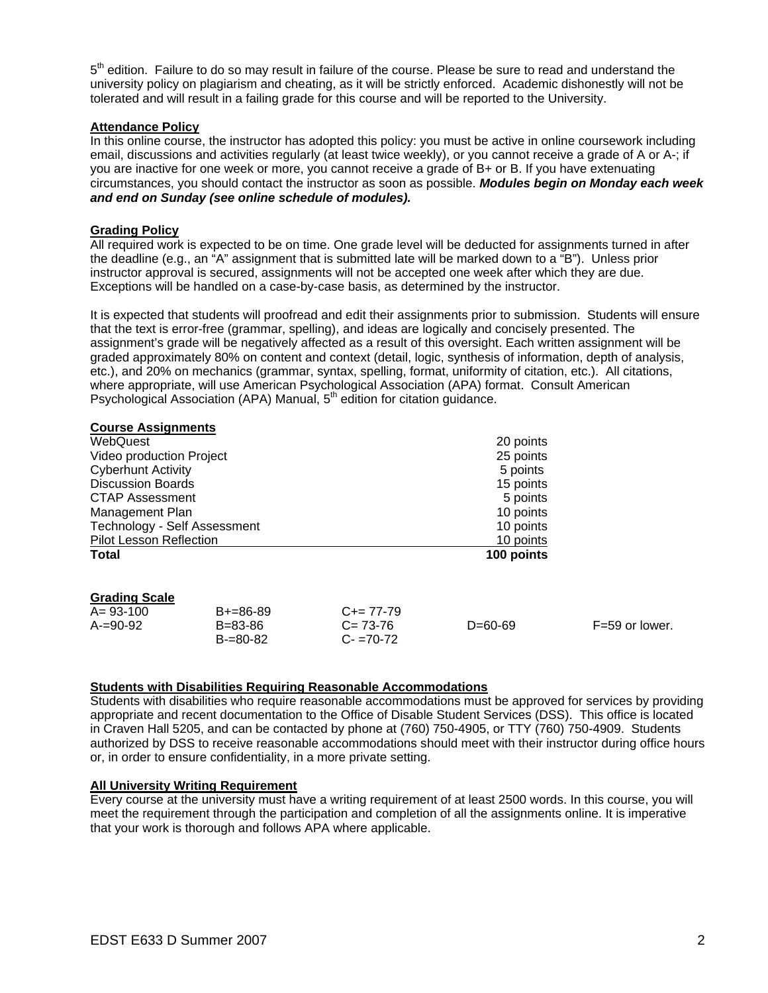$5<sup>th</sup>$  edition. Failure to do so may result in failure of the course. Please be sure to read and understand the university policy on plagiarism and cheating, as it will be strictly enforced. Academic dishonestly will not be tolerated and will result in a failing grade for this course and will be reported to the University.

### **Attendance Policy**

In this online course, the instructor has adopted this policy: you must be active in online coursework including email, discussions and activities regularly (at least twice weekly), or you cannot receive a grade of A or A-; if you are inactive for one week or more, you cannot receive a grade of B+ or B. If you have extenuating circumstances, you should contact the instructor as soon as possible. *Modules begin on Monday each week and end on Sunday (see online schedule of modules).* 

#### **Grading Policy**

All required work is expected to be on time. One grade level will be deducted for assignments turned in after the deadline (e.g., an "A" assignment that is submitted late will be marked down to a "B"). Unless prior instructor approval is secured, assignments will not be accepted one week after which they are due. Exceptions will be handled on a case-by-case basis, as determined by the instructor.

It is expected that students will proofread and edit their assignments prior to submission. Students will ensure that the text is error-free (grammar, spelling), and ideas are logically and concisely presented. The assignment's grade will be negatively affected as a result of this oversight. Each written assignment will be graded approximately 80% on content and context (detail, logic, synthesis of information, depth of analysis, etc.), and 20% on mechanics (grammar, syntax, spelling, format, uniformity of citation, etc.). All citations, where appropriate, will use American Psychological Association (APA) format. Consult American Psychological Association (APA) Manual, 5<sup>th</sup> edition for citation guidance.

| <b>Course Assignments</b>       |                                              |                                             |            |                  |
|---------------------------------|----------------------------------------------|---------------------------------------------|------------|------------------|
| WebQuest                        |                                              |                                             | 20 points  |                  |
| Video production Project        |                                              |                                             | 25 points  |                  |
| <b>Cyberhunt Activity</b>       |                                              |                                             | 5 points   |                  |
| <b>Discussion Boards</b>        |                                              |                                             | 15 points  |                  |
| <b>CTAP Assessment</b>          |                                              |                                             | 5 points   |                  |
| Management Plan                 |                                              |                                             | 10 points  |                  |
|                                 | Technology - Self Assessment<br>10 points    |                                             |            |                  |
| <b>Pilot Lesson Reflection</b>  |                                              | 10 points                                   |            |                  |
| <b>Total</b>                    |                                              |                                             | 100 points |                  |
| <b>Grading Scale</b>            |                                              |                                             |            |                  |
| $A = 93 - 100$<br>$A = 90 - 92$ | $B+=86-89$<br>$B = 83 - 86$<br>$B = 80 - 82$ | $C+= 77-79$<br>$C = 73-76$<br>$C - 70 - 72$ | $D=60-69$  | $F=59$ or lower. |

#### **Students with Disabilities Requiring Reasonable Accommodations**

Students with disabilities who require reasonable accommodations must be approved for services by providing appropriate and recent documentation to the Office of Disable Student Services (DSS). This office is located in Craven Hall 5205, and can be contacted by phone at (760) 750-4905, or TTY (760) 750-4909. Students authorized by DSS to receive reasonable accommodations should meet with their instructor during office hours or, in order to ensure confidentiality, in a more private setting.

#### **All University Writing Requirement**

Every course at the university must have a writing requirement of at least 2500 words. In this course, you will meet the requirement through the participation and completion of all the assignments online. It is imperative that your work is thorough and follows APA where applicable.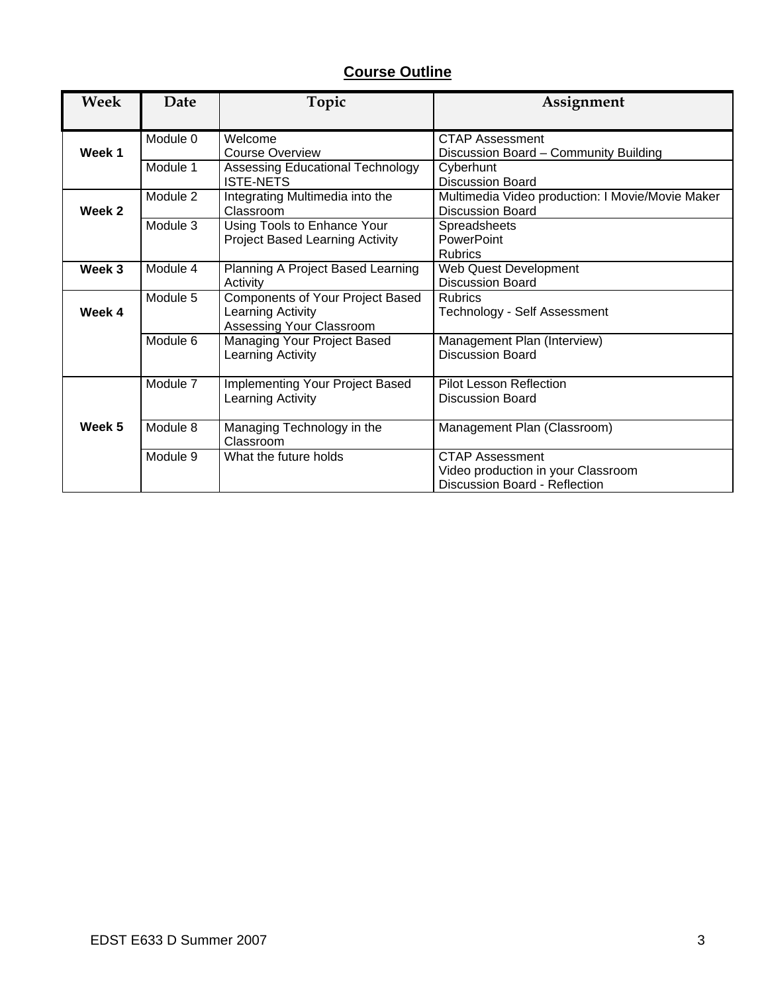# **Course Outline**

| <b>Week</b> | Date     | Topic                                                                             | Assignment                                                                             |
|-------------|----------|-----------------------------------------------------------------------------------|----------------------------------------------------------------------------------------|
| Week 1      | Module 0 | Welcome<br><b>Course Overview</b>                                                 | <b>CTAP Assessment</b><br>Discussion Board - Community Building                        |
|             | Module 1 | Assessing Educational Technology<br><b>ISTE-NETS</b>                              | Cyberhunt<br><b>Discussion Board</b>                                                   |
| Week 2      | Module 2 | Integrating Multimedia into the<br>Classroom                                      | Multimedia Video production: I Movie/Movie Maker<br><b>Discussion Board</b>            |
|             | Module 3 | Using Tools to Enhance Your<br><b>Project Based Learning Activity</b>             | <b>Spreadsheets</b><br>PowerPoint<br><b>Rubrics</b>                                    |
| Week 3      | Module 4 | Planning A Project Based Learning<br>Activity                                     | Web Quest Development<br><b>Discussion Board</b>                                       |
| Week 4      | Module 5 | Components of Your Project Based<br>Learning Activity<br>Assessing Your Classroom | <b>Rubrics</b><br>Technology - Self Assessment                                         |
|             | Module 6 | Managing Your Project Based<br>Learning Activity                                  | Management Plan (Interview)<br>Discussion Board                                        |
|             | Module 7 | <b>Implementing Your Project Based</b><br>Learning Activity                       | Pilot Lesson Reflection<br><b>Discussion Board</b>                                     |
| Week 5      | Module 8 | Managing Technology in the<br>Classroom                                           | Management Plan (Classroom)                                                            |
|             | Module 9 | What the future holds                                                             | CTAP Assessment<br>Video production in your Classroom<br>Discussion Board - Reflection |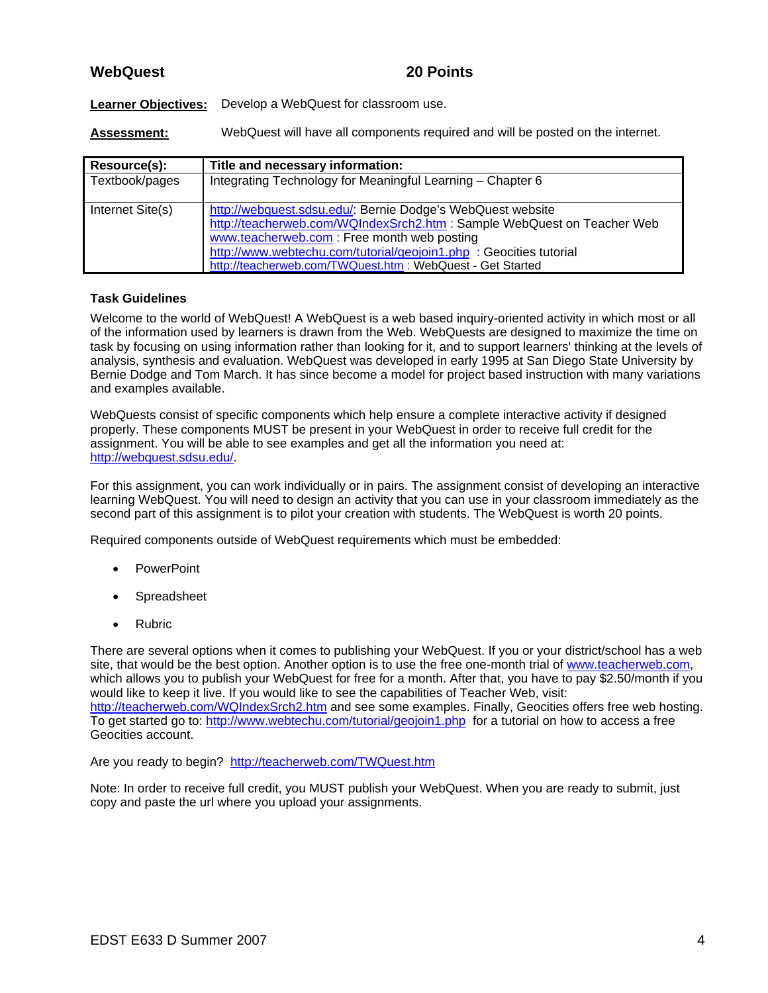## **WebQuest 20 Points**

**Learner Objectives:** Develop a WebQuest for classroom use.

**Assessment:** WebQuest will have all components required and will be posted on the internet.

| Resource(s):     | Title and necessary information:                                                                                                                                                                                                                                                                                        |
|------------------|-------------------------------------------------------------------------------------------------------------------------------------------------------------------------------------------------------------------------------------------------------------------------------------------------------------------------|
| Textbook/pages   | Integrating Technology for Meaningful Learning - Chapter 6                                                                                                                                                                                                                                                              |
| Internet Site(s) | http://webquest.sdsu.edu/: Bernie Dodge's WebQuest website<br>http://teacherweb.com/WQIndexSrch2.htm : Sample WebQuest on Teacher Web<br>www.teacherweb.com: Free month web posting<br>http://www.webtechu.com/tutorial/geojoin1.php : Geocities tutorial<br>http://teacherweb.com/TWQuest.htm : WebQuest - Get Started |

#### **Task Guidelines**

Welcome to the world of WebQuest! A WebQuest is a web based inquiry-oriented activity in which most or all of the information used by learners is drawn from the Web. WebQuests are designed to maximize the time on task by focusing on using information rather than looking for it, and to support learners' thinking at the levels of analysis, synthesis and evaluation. WebQuest was developed in early 1995 at San Diego State University by Bernie Dodge and Tom March. It has since become a model for project based instruction with many variations and examples available.

WebQuests consist of specific components which help ensure a complete interactive activity if designed properly. These components MUST be present in your WebQuest in order to receive full credit for the assignment. You will be able to see examples and get all the information you need at: http://webquest.sdsu.edu/.

For this assignment, you can work individually or in pairs. The assignment consist of developing an interactive learning WebQuest. You will need to design an activity that you can use in your classroom immediately as the second part of this assignment is to pilot your creation with students. The WebQuest is worth 20 points.

Required components outside of WebQuest requirements which must be embedded:

- **PowerPoint**
- **Spreadsheet**
- Rubric

There are several options when it comes to publishing your WebQuest. If you or your district/school has a web site, that would be the best option. Another option is to use the free one-month trial of www.teacherweb.com, which allows you to publish your WebQuest for free for a month. After that, you have to pay \$2.50/month if you would like to keep it live. If you would like to see the capabilities of Teacher Web, visit: http://teacherweb.com/WQIndexSrch2.htm and see some examples. Finally, Geocities offers free web hosting. To get started go to: http://www.webtechu.com/tutorial/geojoin1.php for a tutorial on how to access a free Geocities account.

Are you ready to begin? http://teacherweb.com/TWQuest.htm

Note: In order to receive full credit, you MUST publish your WebQuest. When you are ready to submit, just copy and paste the url where you upload your assignments.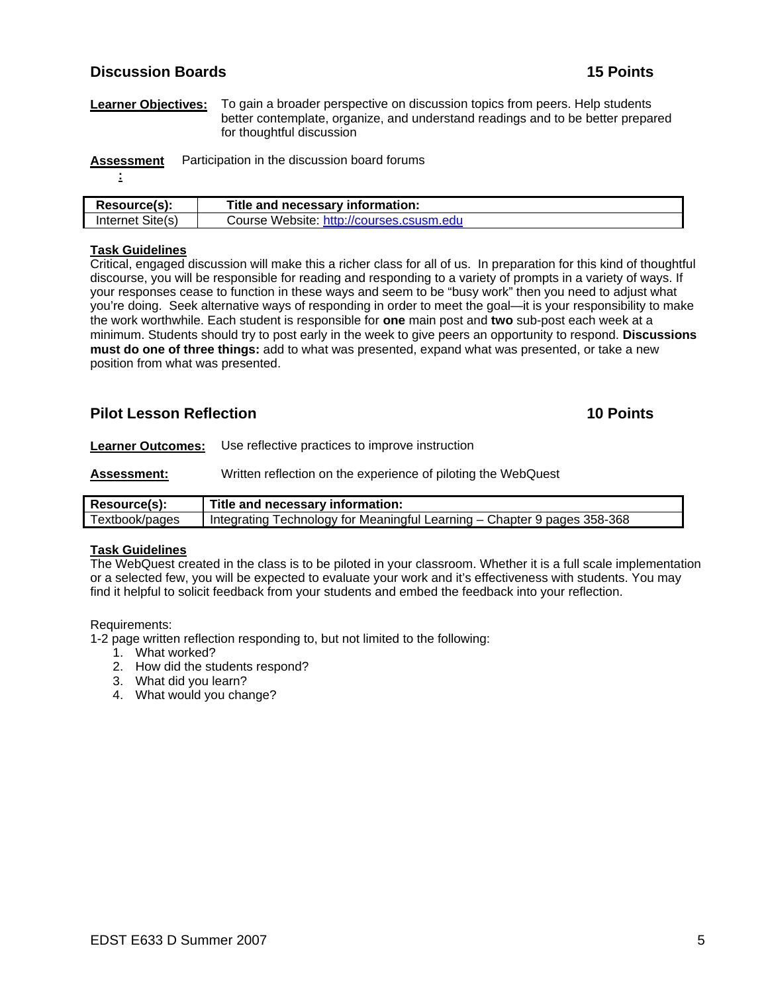### **Discussion Boards 15 Points**

**Learner Objectives:** To gain a broader perspective on discussion topics from peers. Help students better contemplate, organize, and understand readings and to be better prepared for thoughtful discussion

**Assessment** Participation in the discussion board forums

**<sup>:</sup>**

| Resource(s):     | Title and necessary information:        |
|------------------|-----------------------------------------|
| Internet Site(s) | Course Website http://courses.csusm.edu |

### **Task Guidelines**

Critical, engaged discussion will make this a richer class for all of us. In preparation for this kind of thoughtful discourse, you will be responsible for reading and responding to a variety of prompts in a variety of ways. If your responses cease to function in these ways and seem to be "busy work" then you need to adjust what you're doing. Seek alternative ways of responding in order to meet the goal—it is your responsibility to make the work worthwhile. Each student is responsible for **one** main post and **two** sub-post each week at a minimum. Students should try to post early in the week to give peers an opportunity to respond. **Discussions must do one of three things:** add to what was presented, expand what was presented, or take a new position from what was presented.

# **Pilot Lesson Reflection 10 Points**

**Learner Outcomes:** Use reflective practices to improve instruction

**Assessment:** Written reflection on the experience of piloting the WebQuest

| Resource(s):   | Title and necessary information:                                         |
|----------------|--------------------------------------------------------------------------|
| Textbook/pages | Integrating Technology for Meaningful Learning - Chapter 9 pages 358-368 |

#### **Task Guidelines**

The WebQuest created in the class is to be piloted in your classroom. Whether it is a full scale implementation or a selected few, you will be expected to evaluate your work and it's effectiveness with students. You may find it helpful to solicit feedback from your students and embed the feedback into your reflection.

Requirements:

1-2 page written reflection responding to, but not limited to the following:

- 1. What worked?
- 2. How did the students respond?
- 3. What did you learn?
- 4. What would you change?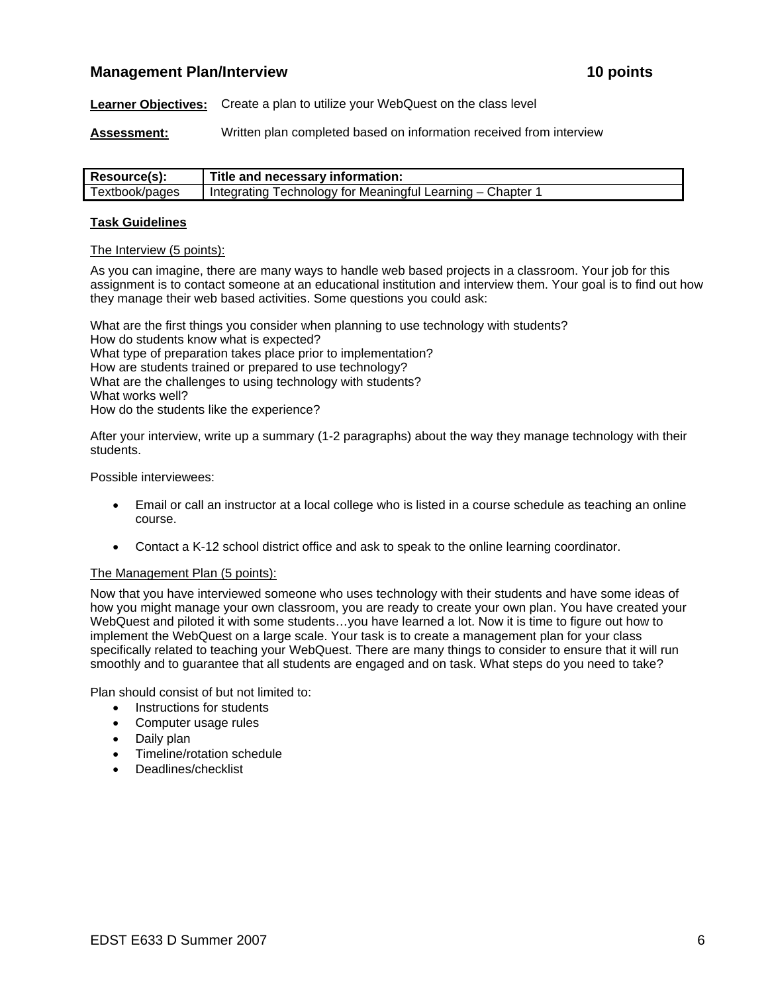### **Management Plan/Interview 10 points 10 points** 10 points

**Learner Objectives:** Create a plan to utilize your WebQuest on the class level

**Assessment:** Written plan completed based on information received from interview

| Resource(s):   | Title and necessary information:                         |
|----------------|----------------------------------------------------------|
| Textbook/pages | Integrating Technology for Meaningful Learning – Chapter |

#### **Task Guidelines**

#### The Interview (5 points):

As you can imagine, there are many ways to handle web based projects in a classroom. Your job for this assignment is to contact someone at an educational institution and interview them. Your goal is to find out how they manage their web based activities. Some questions you could ask:

What are the first things you consider when planning to use technology with students? How do students know what is expected? What type of preparation takes place prior to implementation? How are students trained or prepared to use technology? What are the challenges to using technology with students? What works well? How do the students like the experience?

After your interview, write up a summary (1-2 paragraphs) about the way they manage technology with their students.

Possible interviewees:

- Email or call an instructor at a local college who is listed in a course schedule as teaching an online course.
- Contact a K-12 school district office and ask to speak to the online learning coordinator.

#### The Management Plan (5 points):

Now that you have interviewed someone who uses technology with their students and have some ideas of how you might manage your own classroom, you are ready to create your own plan. You have created your WebQuest and piloted it with some students…you have learned a lot. Now it is time to figure out how to implement the WebQuest on a large scale. Your task is to create a management plan for your class specifically related to teaching your WebQuest. There are many things to consider to ensure that it will run smoothly and to guarantee that all students are engaged and on task. What steps do you need to take?

Plan should consist of but not limited to:

- Instructions for students
- Computer usage rules
- Daily plan
- Timeline/rotation schedule
- Deadlines/checklist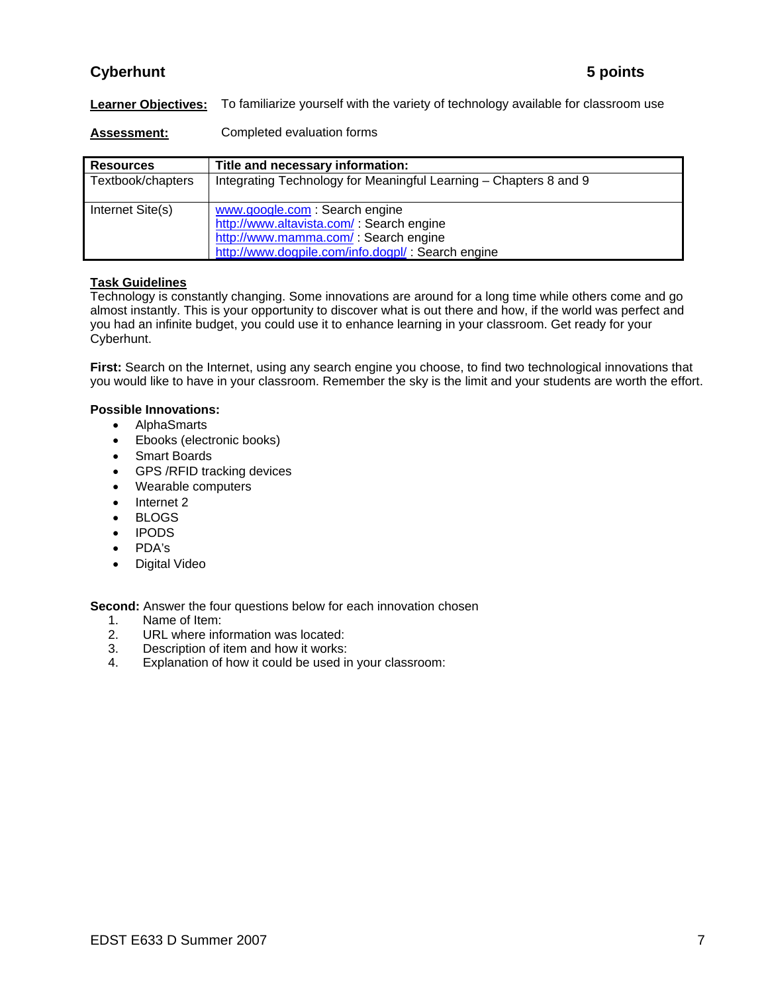# **Cyberhunt 5 points**

**Learner Objectives:** To familiarize yourself with the variety of technology available for classroom use

**Assessment:** Completed evaluation forms

| <b>Resources</b>  | Title and necessary information:                                                                                                                                          |
|-------------------|---------------------------------------------------------------------------------------------------------------------------------------------------------------------------|
| Textbook/chapters | Integrating Technology for Meaningful Learning – Chapters 8 and 9                                                                                                         |
| Internet Site(s)  | www.google.com : Search engine<br>http://www.altavista.com/ : Search engine<br>http://www.mamma.com/ : Search engine<br>http://www.dogpile.com/info.dogpl/: Search engine |

### **Task Guidelines**

Technology is constantly changing. Some innovations are around for a long time while others come and go almost instantly. This is your opportunity to discover what is out there and how, if the world was perfect and you had an infinite budget, you could use it to enhance learning in your classroom. Get ready for your Cyberhunt.

**First:** Search on the Internet, using any search engine you choose, to find two technological innovations that you would like to have in your classroom. Remember the sky is the limit and your students are worth the effort.

#### **Possible Innovations:**

- AlphaSmarts
- Ebooks (electronic books)
- Smart Boards
- GPS /RFID tracking devices
- Wearable computers
- Internet 2
- BLOGS
- IPODS
- PDA's
- Digital Video

**Second:** Answer the four questions below for each innovation chosen

- 1. Name of Item:<br>2. URL where info
- 2. URL where information was located:<br>3. Description of item and how it works:
- 3. Description of item and how it works:<br>4. Explanation of how it could be used in
- Explanation of how it could be used in your classroom: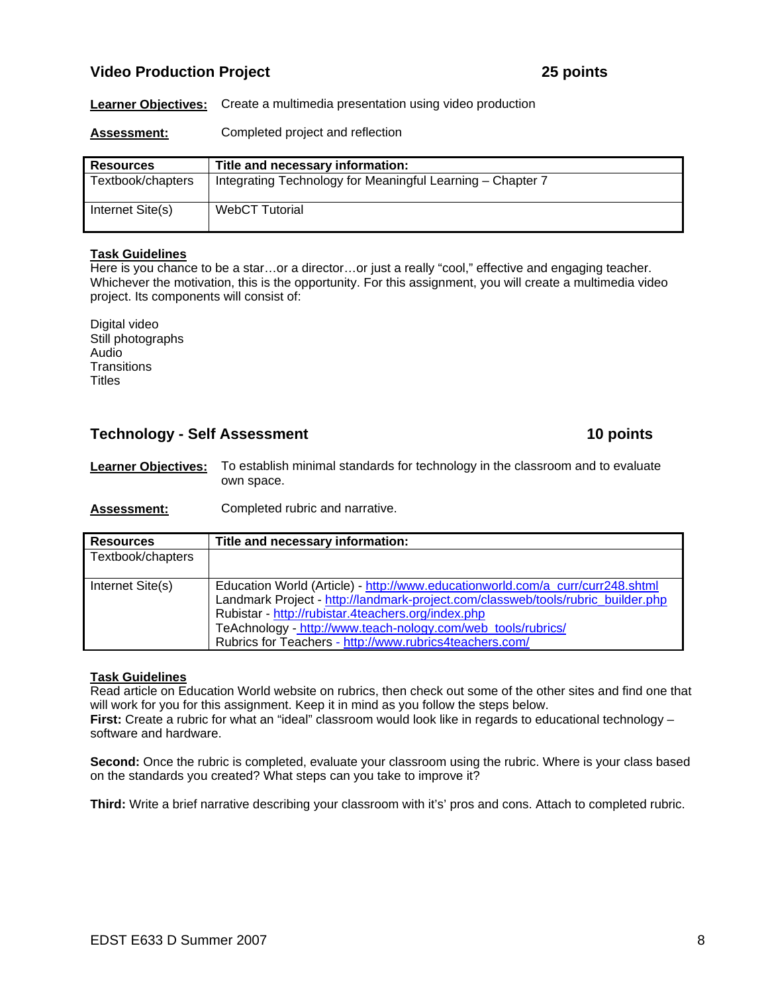# **Video Production Project 25 points**

**Learner Objectives:** Create a multimedia presentation using video production

**Assessment:** Completed project and reflection

| <b>Resources</b>  | Title and necessary information:                           |
|-------------------|------------------------------------------------------------|
| Textbook/chapters | Integrating Technology for Meaningful Learning - Chapter 7 |
| Internet Site(s)  | <b>WebCT Tutorial</b>                                      |

#### **Task Guidelines**

Here is you chance to be a star…or a director…or just a really "cool," effective and engaging teacher. Whichever the motivation, this is the opportunity. For this assignment, you will create a multimedia video project. Its components will consist of:

Digital video Still photographs Audio **Transitions Titles** 

### **Technology - Self Assessment 10 points 10 points**

**Learner Objectives:** To establish minimal standards for technology in the classroom and to evaluate own space.

**Assessment:** Completed rubric and narrative.

| <b>Resources</b>  | Title and necessary information:                                                                                                                                                                                                                                                                                                                    |
|-------------------|-----------------------------------------------------------------------------------------------------------------------------------------------------------------------------------------------------------------------------------------------------------------------------------------------------------------------------------------------------|
| Textbook/chapters |                                                                                                                                                                                                                                                                                                                                                     |
| Internet Site(s)  | Education World (Article) - http://www.educationworld.com/a_curr/curr248.shtml<br>Landmark Project - http://landmark-project.com/classweb/tools/rubric_builder.php<br>Rubistar - http://rubistar.4teachers.org/index.php<br>TeAchnology - http://www.teach-nology.com/web_tools/rubrics/<br>Rubrics for Teachers - http://www.rubrics4teachers.com/ |

#### **Task Guidelines**

Read article on Education World website on rubrics, then check out some of the other sites and find one that will work for you for this assignment. Keep it in mind as you follow the steps below. **First:** Create a rubric for what an "ideal" classroom would look like in regards to educational technology – software and hardware.

**Second:** Once the rubric is completed, evaluate your classroom using the rubric. Where is your class based on the standards you created? What steps can you take to improve it?

**Third:** Write a brief narrative describing your classroom with it's' pros and cons. Attach to completed rubric.